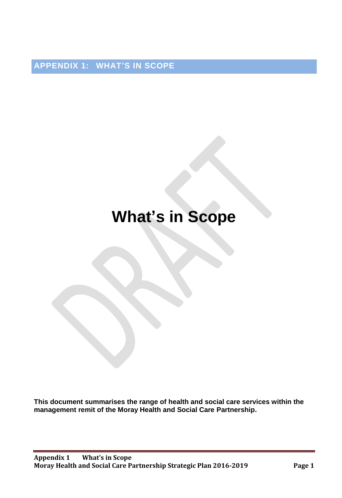**APPENDIX 1: WHAT'S IN SCOPE**

## **What's in Scope**

**This document summarises the range of health and social care services within the management remit of the Moray Health and Social Care Partnership.**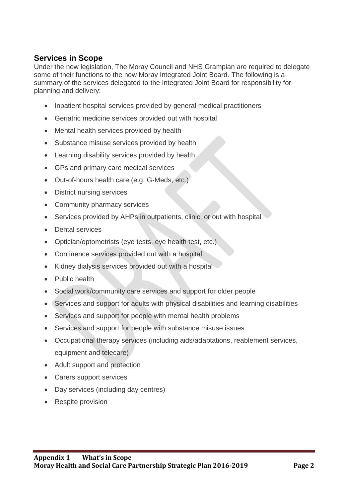## **Services in Scope**

Under the new legislation, The Moray Council and NHS Grampian are required to delegate some of their functions to the new Moray Integrated Joint Board. The following is a summary of the services delegated to the Integrated Joint Board for responsibility for planning and delivery:

- Inpatient hospital services provided by general medical practitioners
- Geriatric medicine services provided out with hospital
- Mental health services provided by health
- Substance misuse services provided by health
- Learning disability services provided by health
- GPs and primary care medical services
- Out-of-hours health care (e.g. G-Meds, etc.)
- District nursing services
- Community pharmacy services
- Services provided by AHPs in outpatients, clinic, or out with hospital
- Dental services
- Optician/optometrists (eye tests, eye health test, etc.)
- Continence services provided out with a hospital
- Kidney dialysis services provided out with a hospital
- Public health
- Social work/community care services and support for older people
- Services and support for adults with physical disabilities and learning disabilities
- Services and support for people with mental health problems
- Services and support for people with substance misuse issues
- Occupational therapy services (including aids/adaptations, reablement services, equipment and telecare)
- Adult support and protection
- Carers support services
- Day services (including day centres)
- Respite provision